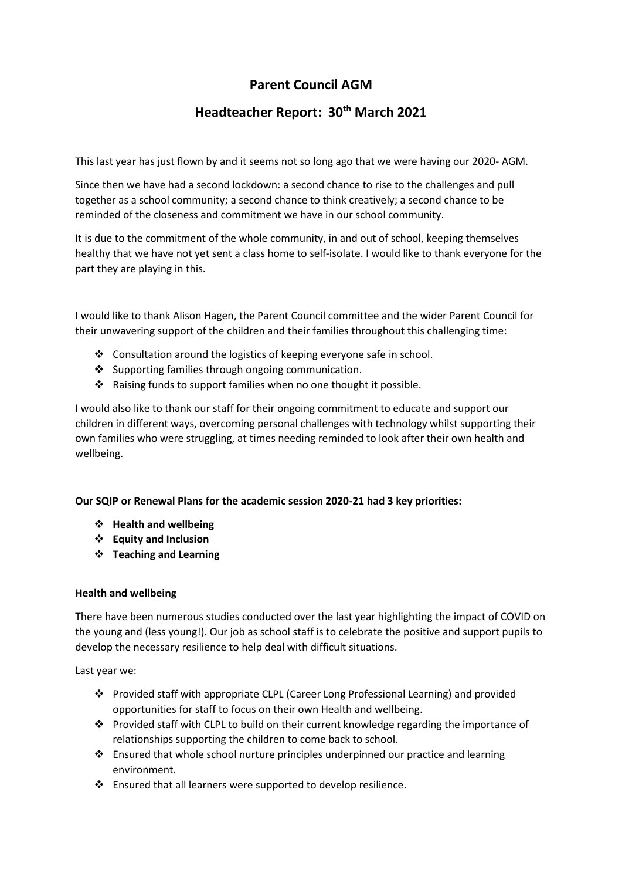# **Parent Council AGM**

# **Headteacher Report: 30th March 2021**

This last year has just flown by and it seems not so long ago that we were having our 2020- AGM.

Since then we have had a second lockdown: a second chance to rise to the challenges and pull together as a school community; a second chance to think creatively; a second chance to be reminded of the closeness and commitment we have in our school community.

It is due to the commitment of the whole community, in and out of school, keeping themselves healthy that we have not yet sent a class home to self-isolate. I would like to thank everyone for the part they are playing in this.

I would like to thank Alison Hagen, the Parent Council committee and the wider Parent Council for their unwavering support of the children and their families throughout this challenging time:

- ❖ Consultation around the logistics of keeping everyone safe in school.
- ❖ Supporting families through ongoing communication.
- ❖ Raising funds to support families when no one thought it possible.

I would also like to thank our staff for their ongoing commitment to educate and support our children in different ways, overcoming personal challenges with technology whilst supporting their own families who were struggling, at times needing reminded to look after their own health and wellbeing.

# **Our SQIP or Renewal Plans for the academic session 2020-21 had 3 key priorities:**

- ❖ **Health and wellbeing**
- ❖ **Equity and Inclusion**
- ❖ **Teaching and Learning**

# **Health and wellbeing**

There have been numerous studies conducted over the last year highlighting the impact of COVID on the young and (less young!). Our job as school staff is to celebrate the positive and support pupils to develop the necessary resilience to help deal with difficult situations.

Last year we:

- ❖ Provided staff with appropriate CLPL (Career Long Professional Learning) and provided opportunities for staff to focus on their own Health and wellbeing.
- ❖ Provided staff with CLPL to build on their current knowledge regarding the importance of relationships supporting the children to come back to school.
- ❖ Ensured that whole school nurture principles underpinned our practice and learning environment.
- ❖ Ensured that all learners were supported to develop resilience.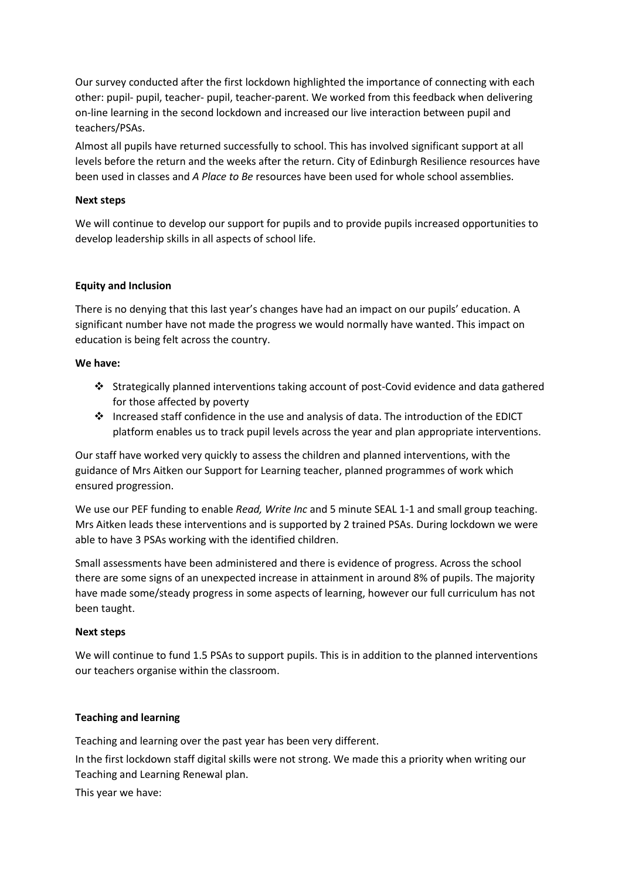Our survey conducted after the first lockdown highlighted the importance of connecting with each other: pupil- pupil, teacher- pupil, teacher-parent. We worked from this feedback when delivering on-line learning in the second lockdown and increased our live interaction between pupil and teachers/PSAs.

Almost all pupils have returned successfully to school. This has involved significant support at all levels before the return and the weeks after the return. City of Edinburgh Resilience resources have been used in classes and *A Place to Be* resources have been used for whole school assemblies.

# **Next steps**

We will continue to develop our support for pupils and to provide pupils increased opportunities to develop leadership skills in all aspects of school life.

# **Equity and Inclusion**

There is no denying that this last year's changes have had an impact on our pupils' education. A significant number have not made the progress we would normally have wanted. This impact on education is being felt across the country.

#### **We have:**

- ❖ Strategically planned interventions taking account of post-Covid evidence and data gathered for those affected by poverty
- ❖ Increased staff confidence in the use and analysis of data. The introduction of the EDICT platform enables us to track pupil levels across the year and plan appropriate interventions.

Our staff have worked very quickly to assess the children and planned interventions, with the guidance of Mrs Aitken our Support for Learning teacher, planned programmes of work which ensured progression.

We use our PEF funding to enable *Read, Write Inc* and 5 minute SEAL 1-1 and small group teaching. Mrs Aitken leads these interventions and is supported by 2 trained PSAs. During lockdown we were able to have 3 PSAs working with the identified children.

Small assessments have been administered and there is evidence of progress. Across the school there are some signs of an unexpected increase in attainment in around 8% of pupils. The majority have made some/steady progress in some aspects of learning, however our full curriculum has not been taught.

#### **Next steps**

We will continue to fund 1.5 PSAs to support pupils. This is in addition to the planned interventions our teachers organise within the classroom.

#### **Teaching and learning**

Teaching and learning over the past year has been very different.

In the first lockdown staff digital skills were not strong. We made this a priority when writing our Teaching and Learning Renewal plan.

This year we have: